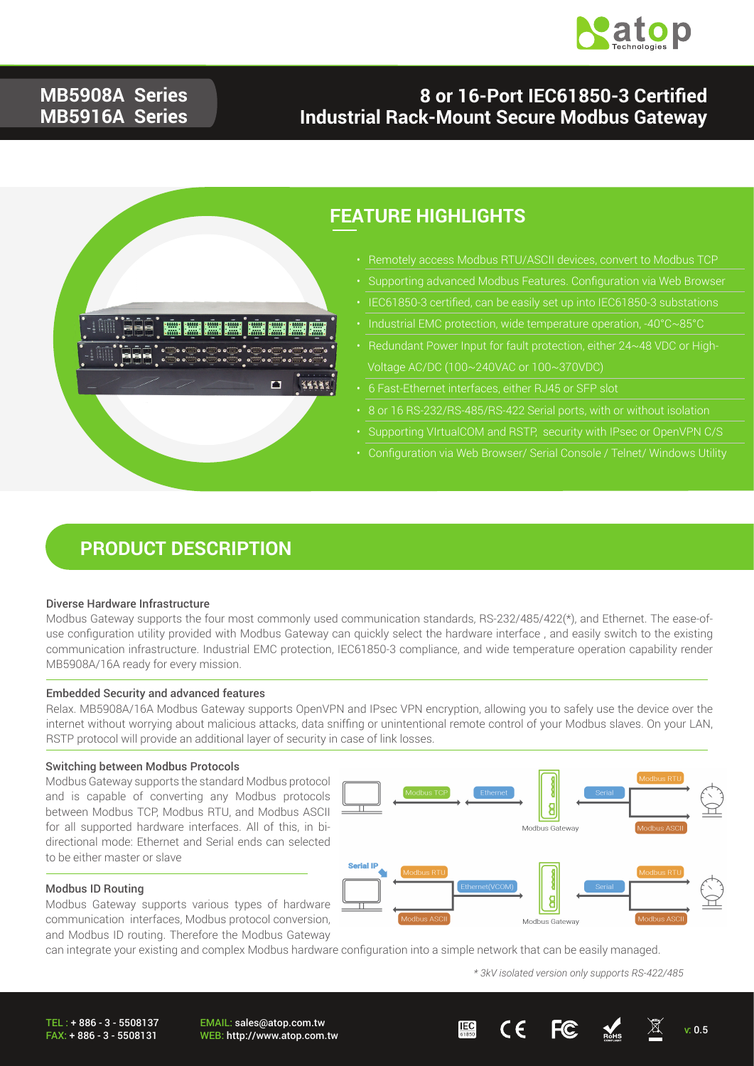

### **MB5908A Series MB5916A Series**

### **8 or 16-Port IEC61850-3 Certified Industrial Rack-Mount Secure Modbus Gateway**



### **FEATURE HIGHLIGHTS**

- - Supporting advanced Modbus Features. Configuration via Web Browser
- -
- 
- 
- 8 or 16 RS-232/RS-485/RS-422 Serial ports, with or without isolation
- Supporting VIrtualCOM and RSTP, security with IPsec or OpenVPN C/S
- Configuration via Web Browser/ Serial Console / Telnet/ Windows Utility

### **PRODUCT DESCRIPTION**

#### Diverse Hardware Infrastructure

Modbus Gateway supports the four most commonly used communication standards, RS-232/485/422(\*), and Ethernet. The ease-ofuse configuration utility provided with Modbus Gateway can quickly select the hardware interface , and easily switch to the existing communication infrastructure. Industrial EMC protection, IEC61850-3 compliance, and wide temperature operation capability render MB5908A/16A ready for every mission.

#### Embedded Security and advanced features

Relax. MB5908A/16A Modbus Gateway supports OpenVPN and IPsec VPN encryption, allowing you to safely use the device over the internet without worrying about malicious attacks, data sniffing or unintentional remote control of your Modbus slaves. On your LAN, RSTP protocol will provide an additional layer of security in case of link losses.

#### Switching between Modbus Protocols

Modbus Gateway supports the standard Modbus protocol and is capable of converting any Modbus protocols between Modbus TCP, Modbus RTU, and Modbus ASCII for all supported hardware interfaces. All of this, in bidirectional mode: Ethernet and Serial ends can selected to be either master or slave



#### Modbus ID Routing

Modbus Gateway supports various types of hardware communication interfaces, Modbus protocol conversion, and Modbus ID routing. Therefore the Modbus Gateway

can integrate your existing and complex Modbus hardware configuration into a simple network that can be easily managed.

*\* 3kV isolated version only supports RS-422/485*

TEL : + 886 - 3 - 5508137 FAX: + 886 - 3 - 5508131

EMAIL: sales@atop.com.tw



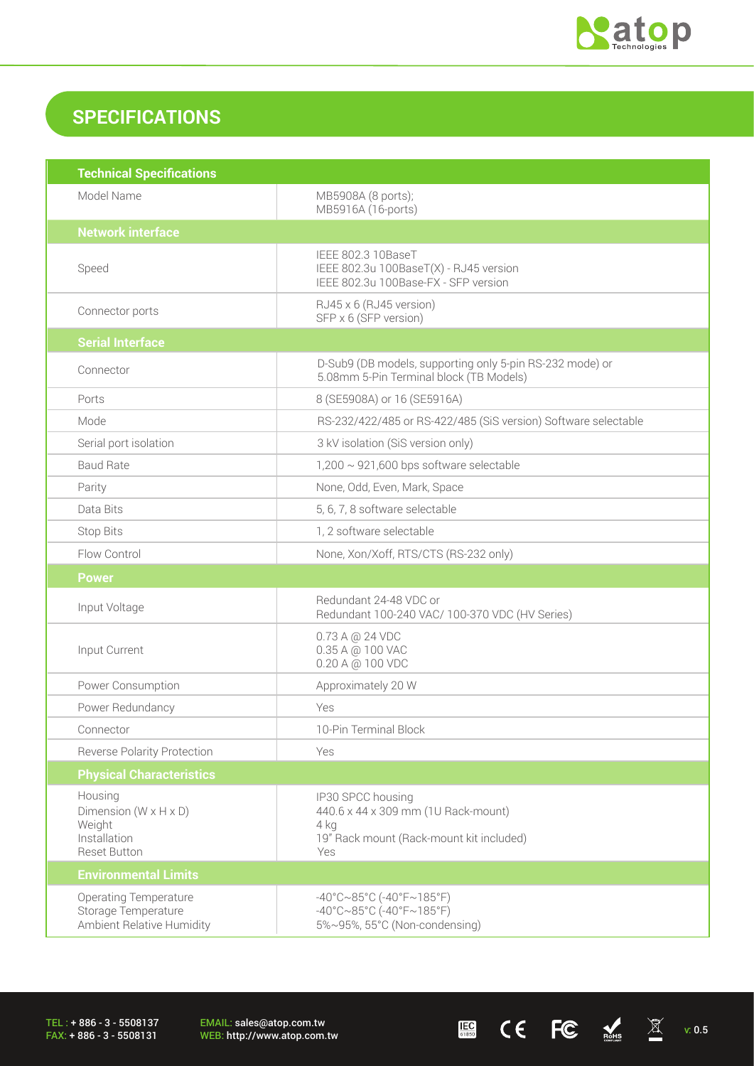

 $\begin{array}{ccccc} \mathbf{E} & \mathbf{C} & \mathbf{C} & \mathbf{C} & \mathbf{C} & \mathbb{R}^{4} & \mathbb{R} & \mathbb{R}^{4} \end{array}$ 

## **SPECIFICATIONS**

| <b>Technical Specifications</b>                                                                 |                                                                                                                                       |  |
|-------------------------------------------------------------------------------------------------|---------------------------------------------------------------------------------------------------------------------------------------|--|
| Model Name                                                                                      | MB5908A (8 ports);<br>MB5916A (16-ports)                                                                                              |  |
| <b>Network interface</b>                                                                        |                                                                                                                                       |  |
| Speed                                                                                           | IEEE 802.3 10BaseT<br>IEEE 802.3u 100BaseT(X) - RJ45 version<br>IEEE 802.3u 100Base-FX - SFP version                                  |  |
| Connector ports                                                                                 | RJ45 x 6 (RJ45 version)<br>SFP x 6 (SFP version)                                                                                      |  |
| <b>Serial Interface</b>                                                                         |                                                                                                                                       |  |
| Connector                                                                                       | D-Sub9 (DB models, supporting only 5-pin RS-232 mode) or<br>5.08mm 5-Pin Terminal block (TB Models)                                   |  |
| Ports                                                                                           | 8 (SE5908A) or 16 (SE5916A)                                                                                                           |  |
| Mode                                                                                            | RS-232/422/485 or RS-422/485 (SiS version) Software selectable                                                                        |  |
| Serial port isolation                                                                           | 3 kV isolation (SiS version only)                                                                                                     |  |
| <b>Baud Rate</b>                                                                                | $1,200 \sim 921,600$ bps software selectable                                                                                          |  |
| Parity                                                                                          | None, Odd, Even, Mark, Space                                                                                                          |  |
| Data Bits                                                                                       | 5, 6, 7, 8 software selectable                                                                                                        |  |
| <b>Stop Bits</b>                                                                                | 1, 2 software selectable                                                                                                              |  |
| Flow Control                                                                                    | None, Xon/Xoff, RTS/CTS (RS-232 only)                                                                                                 |  |
| <b>Power</b>                                                                                    |                                                                                                                                       |  |
| Input Voltage                                                                                   | Redundant 24-48 VDC or<br>Redundant 100-240 VAC/ 100-370 VDC (HV Series)                                                              |  |
| Input Current                                                                                   | 0.73 A @ 24 VDC<br>0.35 A @ 100 VAC<br>0.20 A @ 100 VDC                                                                               |  |
| Power Consumption                                                                               | Approximately 20 W                                                                                                                    |  |
| Power Redundancy                                                                                | Yes                                                                                                                                   |  |
| Connector                                                                                       | 10-Pin Terminal Block                                                                                                                 |  |
| <b>Reverse Polarity Protection</b>                                                              | Yes                                                                                                                                   |  |
| <b>Physical Characteristics</b>                                                                 |                                                                                                                                       |  |
| Housing<br>Dimension ( $W \times H \times D$ )<br>Weight<br>Installation<br><b>Reset Button</b> | IP30 SPCC housing<br>440.6 x 44 x 309 mm (1U Rack-mount)<br>4 kg<br>19" Rack mount (Rack-mount kit included)<br>Yes                   |  |
| <b>Environmental Limits</b>                                                                     |                                                                                                                                       |  |
| <b>Operating Temperature</b><br>Storage Temperature<br>Ambient Relative Humidity                | $-40^{\circ}$ C $\sim$ 85°C (-40°F $\sim$ 185°F)<br>$-40^{\circ}$ C $\sim$ 85°C (-40°F $\sim$ 185°F)<br>5%~95%, 55°C (Non-condensing) |  |

TEL : + 886 - 3 - 5508137 FAX: + 886 - 3 - 5508131

EMAIL: sales@atop.com.tw<br>WEB: http://www.atop.com.tw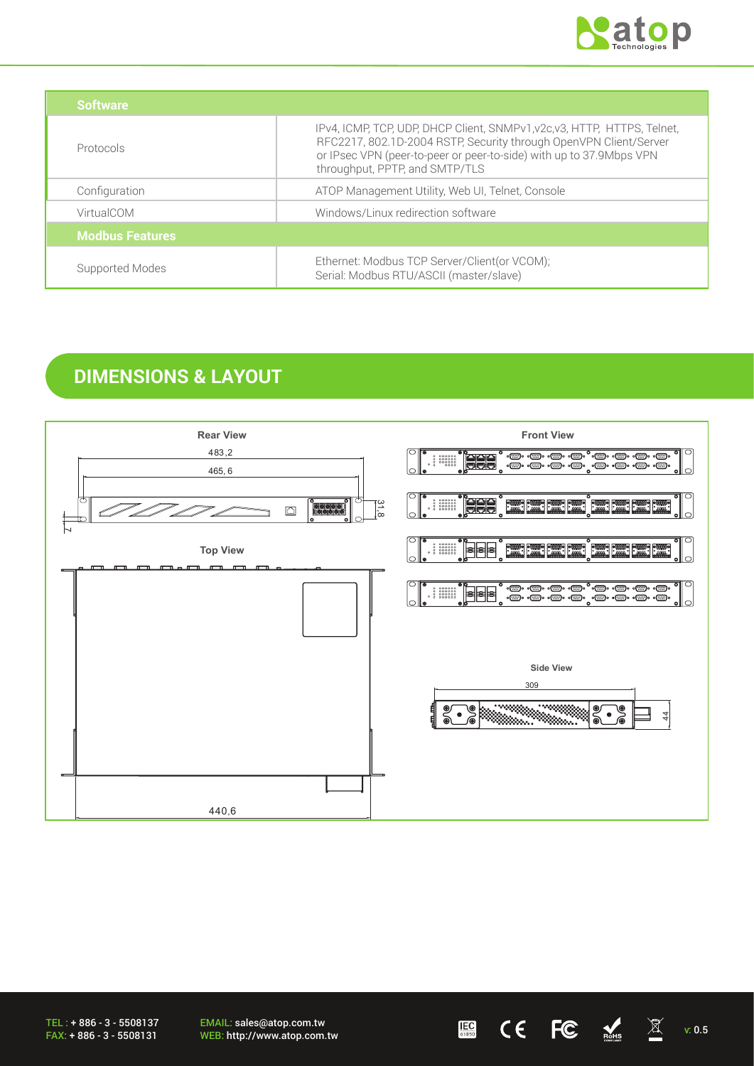

| <b>Software</b>        |                                                                                                                                                                                                                                                        |
|------------------------|--------------------------------------------------------------------------------------------------------------------------------------------------------------------------------------------------------------------------------------------------------|
| Protocols              | IPv4, ICMP, TCP, UDP, DHCP Client, SNMPv1, v2c, v3, HTTP, HTTPS, Telnet,<br>RFC2217, 802.1D-2004 RSTP, Security through OpenVPN Client/Server<br>or IPsec VPN (peer-to-peer or peer-to-side) with up to 37.9Mbps VPN<br>throughput, PPTP, and SMTP/TLS |
| Configuration          | ATOP Management Utility, Web UI, Telnet, Console                                                                                                                                                                                                       |
| VirtualCOM             | Windows/Linux redirection software                                                                                                                                                                                                                     |
| <b>Modbus Features</b> |                                                                                                                                                                                                                                                        |
| Supported Modes        | Ethernet: Modbus TCP Server/Client(or VCOM);<br>Serial: Modbus RTU/ASCII (master/slave)                                                                                                                                                                |

### **DIMENSIONS & LAYOUT**



TEL : + 886 - 3 - 5508137 FAX: + 886 - 3 - 5508131

EMAIL: sales@atop.com.tw EMAIL: sales@atop.com.tw **UEB**  $\mathsf{CE}$   $\mathsf{FC}$   $\mathbb{R}$   $\mathbb{X}$  v: 0.5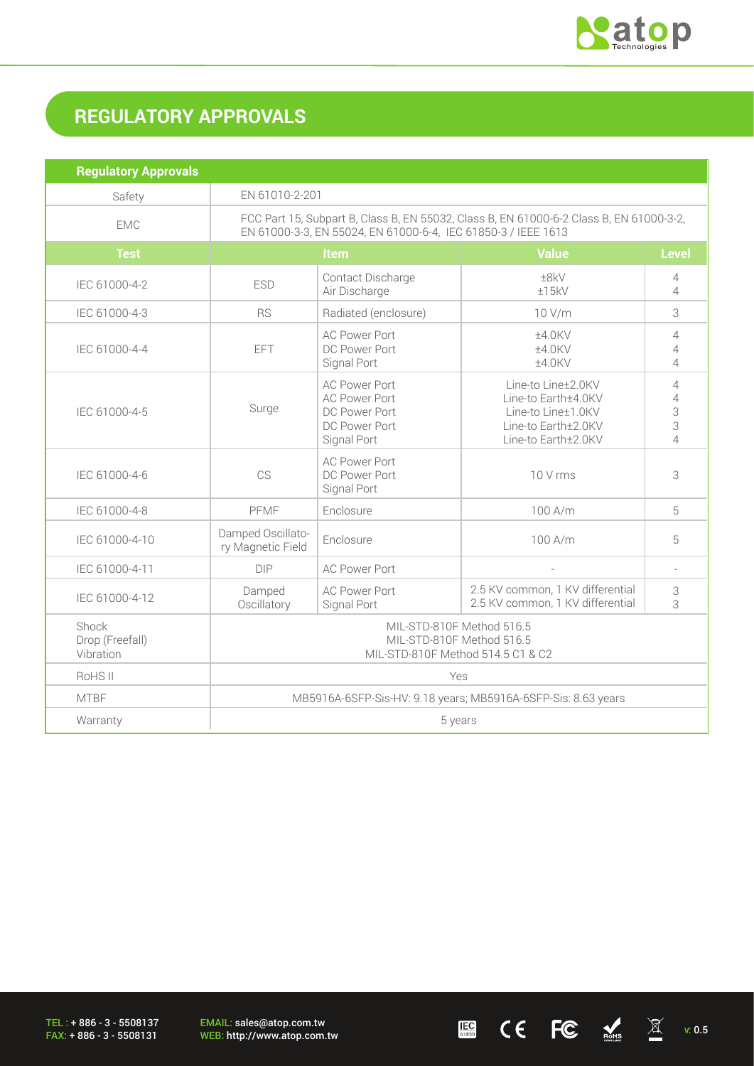

# **REGULATORY APPROVALS**

| <b>Regulatory Approvals</b>           |                                                                                                                                                          |                                                                                               |                                                                                                               |                                                              |
|---------------------------------------|----------------------------------------------------------------------------------------------------------------------------------------------------------|-----------------------------------------------------------------------------------------------|---------------------------------------------------------------------------------------------------------------|--------------------------------------------------------------|
| Safety                                | EN 61010-2-201                                                                                                                                           |                                                                                               |                                                                                                               |                                                              |
| <b>EMC</b>                            | FCC Part 15, Subpart B, Class B, EN 55032, Class B, EN 61000-6-2 Class B, EN 61000-3-2,<br>EN 61000-3-3, EN 55024, EN 61000-6-4, IEC 61850-3 / IEEE 1613 |                                                                                               |                                                                                                               |                                                              |
| <b>Test</b>                           | <b>Value</b><br><b>Level</b><br>Item                                                                                                                     |                                                                                               |                                                                                                               |                                                              |
| IEC 61000-4-2                         | <b>ESD</b>                                                                                                                                               | Contact Discharge<br>Air Discharge                                                            | ±8kV<br>±15kV                                                                                                 | $\overline{4}$<br>$\overline{4}$                             |
| IEC 61000-4-3                         | <b>RS</b>                                                                                                                                                | Radiated (enclosure)                                                                          | 10 V/m                                                                                                        | 3                                                            |
| IEC 61000-4-4                         | EFT                                                                                                                                                      | <b>AC Power Port</b><br>DC Power Port<br>Signal Port                                          | ±4.0KV<br>±4.0KV<br>±4.0KV                                                                                    | $\overline{4}$<br>$\overline{4}$<br>$\overline{\mathcal{A}}$ |
| IEC 61000-4-5                         | Surge                                                                                                                                                    | <b>AC Power Port</b><br><b>AC Power Port</b><br>DC Power Port<br>DC Power Port<br>Signal Port | Line-to Line±2.0KV<br>Line-to Earth±4.0KV<br>Line-to Line±1.0KV<br>Line-to Earth±2.0KV<br>Line-to Earth±2.0KV | 4<br>$\overline{4}$<br>3<br>3<br>4                           |
| IEC 61000-4-6                         | CS                                                                                                                                                       | <b>AC Power Port</b><br>DC Power Port<br>Signal Port                                          | 10 V rms                                                                                                      | 3                                                            |
| IEC 61000-4-8                         | PFMF                                                                                                                                                     | Enclosure                                                                                     | 100 A/m                                                                                                       | 5                                                            |
| IEC 61000-4-10                        | Damped Oscillato-<br>ry Magnetic Field                                                                                                                   | Enclosure                                                                                     | 100 A/m                                                                                                       | 5                                                            |
| IEC 61000-4-11                        | DIP                                                                                                                                                      | <b>AC Power Port</b>                                                                          |                                                                                                               |                                                              |
| IEC 61000-4-12                        | Damped<br>Oscillatory                                                                                                                                    | <b>AC Power Port</b><br>Signal Port                                                           | 2.5 KV common, 1 KV differential<br>2.5 KV common, 1 KV differential                                          | 3<br>3                                                       |
| Shock<br>Drop (Freefall)<br>Vibration | MIL-STD-810F Method 516.5<br>MIL-STD-810F Method 516.5<br>MIL-STD-810F Method 514.5 C1 & C2                                                              |                                                                                               |                                                                                                               |                                                              |
| RoHS <sub>II</sub>                    | Yes                                                                                                                                                      |                                                                                               |                                                                                                               |                                                              |
| <b>MTBF</b>                           | MB5916A-6SFP-Sis-HV: 9.18 years; MB5916A-6SFP-Sis: 8.63 years                                                                                            |                                                                                               |                                                                                                               |                                                              |
| Warranty                              | 5 years                                                                                                                                                  |                                                                                               |                                                                                                               |                                                              |

TEL : + 886 - 3 - 5508137 FAX: + 886 - 3 - 5508131

EMAIL: sales@atop.com.tw<br>WEB: http://www.atop.com.tw